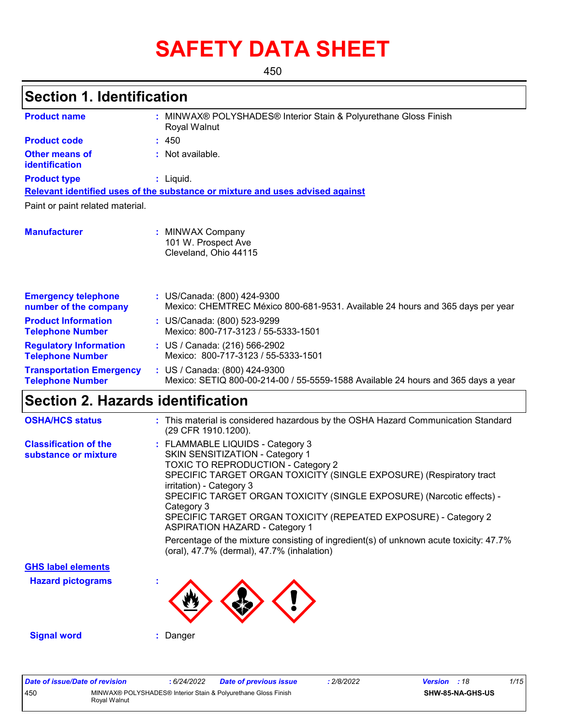# **SAFETY DATA SHEET**

450

### **Section 1. Identification**

| <b>Product name</b>                                        | : MINWAX® POLYSHADES® Interior Stain & Polyurethane Gloss Finish<br>Royal Walnut                                   |
|------------------------------------------------------------|--------------------------------------------------------------------------------------------------------------------|
| <b>Product code</b>                                        | : 450                                                                                                              |
| <b>Other means of</b><br>identification                    | : Not available.                                                                                                   |
| <b>Product type</b>                                        | $:$ Liquid.                                                                                                        |
|                                                            | Relevant identified uses of the substance or mixture and uses advised against                                      |
| Paint or paint related material.                           |                                                                                                                    |
| <b>Manufacturer</b>                                        | : MINWAX Company<br>101 W. Prospect Ave<br>Cleveland, Ohio 44115                                                   |
| <b>Emergency telephone</b><br>number of the company        | : US/Canada: (800) 424-9300<br>Mexico: CHEMTREC México 800-681-9531. Available 24 hours and 365 days per year      |
| <b>Product Information</b><br><b>Telephone Number</b>      | : US/Canada: (800) 523-9299<br>Mexico: 800-717-3123 / 55-5333-1501                                                 |
| <b>Regulatory Information</b><br><b>Telephone Number</b>   | : US / Canada: (216) 566-2902<br>Mexico: 800-717-3123 / 55-5333-1501                                               |
| <b>Transportation Emergency</b><br><b>Telephone Number</b> | : US / Canada: (800) 424-9300<br>Mexico: SETIQ 800-00-214-00 / 55-5559-1588 Available 24 hours and 365 days a year |

### **Section 2. Hazards identification**

| <b>OSHA/HCS status</b>                               | : This material is considered hazardous by the OSHA Hazard Communication Standard<br>(29 CFR 1910.1200).                                                                                                                                                                                                                                                                                                                                                                                                                                                |
|------------------------------------------------------|---------------------------------------------------------------------------------------------------------------------------------------------------------------------------------------------------------------------------------------------------------------------------------------------------------------------------------------------------------------------------------------------------------------------------------------------------------------------------------------------------------------------------------------------------------|
| <b>Classification of the</b><br>substance or mixture | : FLAMMABLE LIQUIDS - Category 3<br>SKIN SENSITIZATION - Category 1<br>TOXIC TO REPRODUCTION - Category 2<br>SPECIFIC TARGET ORGAN TOXICITY (SINGLE EXPOSURE) (Respiratory tract<br>irritation) - Category 3<br>SPECIFIC TARGET ORGAN TOXICITY (SINGLE EXPOSURE) (Narcotic effects) -<br>Category 3<br>SPECIFIC TARGET ORGAN TOXICITY (REPEATED EXPOSURE) - Category 2<br><b>ASPIRATION HAZARD - Category 1</b><br>Percentage of the mixture consisting of ingredient(s) of unknown acute toxicity: 47.7%<br>(oral), 47.7% (dermal), 47.7% (inhalation) |
| <b>GHS label elements</b>                            |                                                                                                                                                                                                                                                                                                                                                                                                                                                                                                                                                         |
| <b>Hazard pictograms</b>                             | ٠                                                                                                                                                                                                                                                                                                                                                                                                                                                                                                                                                       |
| <b>Signal word</b>                                   | Danger                                                                                                                                                                                                                                                                                                                                                                                                                                                                                                                                                  |

| Date of issue/Date of revision |                                                                                | : 6/24/2022 | Date of previous issue | 2/8/2022 | <b>Version</b> : 18 |                         | 1/15 |
|--------------------------------|--------------------------------------------------------------------------------|-------------|------------------------|----------|---------------------|-------------------------|------|
| 450                            | MINWAX® POLYSHADES® Interior Stain & Polyurethane Gloss Finish<br>Roval Walnut |             |                        |          |                     | <b>SHW-85-NA-GHS-US</b> |      |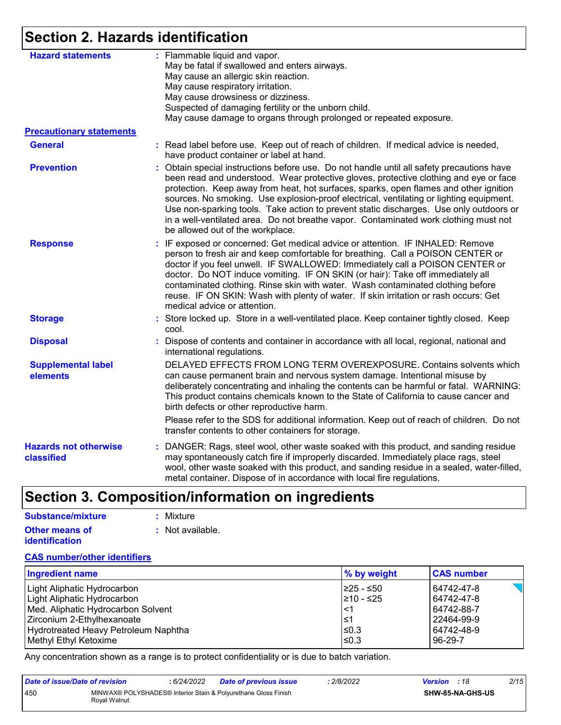### **Section 2. Hazards identification**

| <b>Hazard statements</b>                   | : Flammable liquid and vapor.<br>May be fatal if swallowed and enters airways.                                                                                                                                                                                                                                                                                                                                                                                                                                                                                                             |
|--------------------------------------------|--------------------------------------------------------------------------------------------------------------------------------------------------------------------------------------------------------------------------------------------------------------------------------------------------------------------------------------------------------------------------------------------------------------------------------------------------------------------------------------------------------------------------------------------------------------------------------------------|
|                                            | May cause an allergic skin reaction.                                                                                                                                                                                                                                                                                                                                                                                                                                                                                                                                                       |
|                                            | May cause respiratory irritation.                                                                                                                                                                                                                                                                                                                                                                                                                                                                                                                                                          |
|                                            | May cause drowsiness or dizziness.                                                                                                                                                                                                                                                                                                                                                                                                                                                                                                                                                         |
|                                            | Suspected of damaging fertility or the unborn child.                                                                                                                                                                                                                                                                                                                                                                                                                                                                                                                                       |
|                                            | May cause damage to organs through prolonged or repeated exposure.                                                                                                                                                                                                                                                                                                                                                                                                                                                                                                                         |
| <b>Precautionary statements</b>            |                                                                                                                                                                                                                                                                                                                                                                                                                                                                                                                                                                                            |
| <b>General</b>                             | : Read label before use. Keep out of reach of children. If medical advice is needed,<br>have product container or label at hand.                                                                                                                                                                                                                                                                                                                                                                                                                                                           |
| <b>Prevention</b>                          | Obtain special instructions before use. Do not handle until all safety precautions have<br>been read and understood. Wear protective gloves, protective clothing and eye or face<br>protection. Keep away from heat, hot surfaces, sparks, open flames and other ignition<br>sources. No smoking. Use explosion-proof electrical, ventilating or lighting equipment.<br>Use non-sparking tools. Take action to prevent static discharges. Use only outdoors or<br>in a well-ventilated area. Do not breathe vapor. Contaminated work clothing must not<br>be allowed out of the workplace. |
| <b>Response</b>                            | : IF exposed or concerned: Get medical advice or attention. IF INHALED: Remove<br>person to fresh air and keep comfortable for breathing. Call a POISON CENTER or<br>doctor if you feel unwell. IF SWALLOWED: Immediately call a POISON CENTER or<br>doctor. Do NOT induce vomiting. IF ON SKIN (or hair): Take off immediately all<br>contaminated clothing. Rinse skin with water. Wash contaminated clothing before<br>reuse. IF ON SKIN: Wash with plenty of water. If skin irritation or rash occurs: Get<br>medical advice or attention.                                             |
| <b>Storage</b>                             | : Store locked up. Store in a well-ventilated place. Keep container tightly closed. Keep<br>cool.                                                                                                                                                                                                                                                                                                                                                                                                                                                                                          |
| <b>Disposal</b>                            | Dispose of contents and container in accordance with all local, regional, national and<br>international regulations.                                                                                                                                                                                                                                                                                                                                                                                                                                                                       |
| <b>Supplemental label</b><br>elements      | DELAYED EFFECTS FROM LONG TERM OVEREXPOSURE. Contains solvents which<br>can cause permanent brain and nervous system damage. Intentional misuse by<br>deliberately concentrating and inhaling the contents can be harmful or fatal. WARNING:<br>This product contains chemicals known to the State of California to cause cancer and<br>birth defects or other reproductive harm.                                                                                                                                                                                                          |
|                                            | Please refer to the SDS for additional information. Keep out of reach of children. Do not<br>transfer contents to other containers for storage.                                                                                                                                                                                                                                                                                                                                                                                                                                            |
| <b>Hazards not otherwise</b><br>classified | : DANGER: Rags, steel wool, other waste soaked with this product, and sanding residue<br>may spontaneously catch fire if improperly discarded. Immediately place rags, steel<br>wool, other waste soaked with this product, and sanding residue in a sealed, water-filled,<br>metal container. Dispose of in accordance with local fire regulations.                                                                                                                                                                                                                                       |

### **Section 3. Composition/information on ingredients**

| Substance/mixture     | : Mixture        |
|-----------------------|------------------|
| Other means of        | : Not available. |
| <b>identification</b> |                  |

#### **CAS number/other identifiers**

| <b>Ingredient name</b>               | $\%$ by weight | <b>CAS number</b> |
|--------------------------------------|----------------|-------------------|
| Light Aliphatic Hydrocarbon          | I≥25 - ≤50     | 64742-47-8        |
| Light Aliphatic Hydrocarbon          | 210 - ≤25      | 64742-47-8        |
| Med. Aliphatic Hydrocarbon Solvent   | <′             | 64742-88-7        |
| Zirconium 2-Ethylhexanoate           | l≤1            | 22464-99-9        |
| Hydrotreated Heavy Petroleum Naphtha | ≤0.3           | 64742-48-9        |
| Methyl Ethyl Ketoxime                | $≤0.3$         | 96-29-7           |

Any concentration shown as a range is to protect confidentiality or is due to batch variation.

| Date of issue/Date of revision |              | 6/24/2022 | <b>Date of previous issue</b>                                  | 2/8/2022 | <b>Version</b> : 18 |                         | 2/15 |
|--------------------------------|--------------|-----------|----------------------------------------------------------------|----------|---------------------|-------------------------|------|
| 450                            | Roval Walnut |           | MINWAX® POLYSHADES® Interior Stain & Polyurethane Gloss Finish |          |                     | <b>SHW-85-NA-GHS-US</b> |      |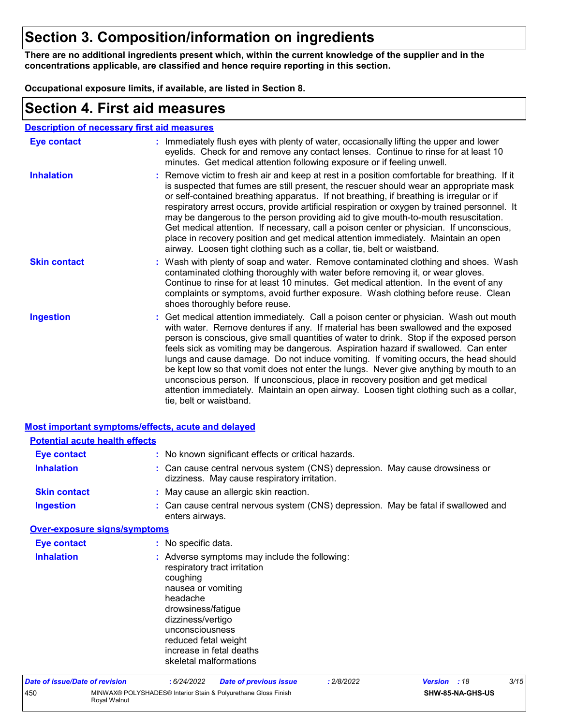### **Section 3. Composition/information on ingredients**

**There are no additional ingredients present which, within the current knowledge of the supplier and in the concentrations applicable, are classified and hence require reporting in this section.**

**Occupational exposure limits, if available, are listed in Section 8.**

### **Section 4. First aid measures**

| <b>Description of necessary first aid measures</b> |
|----------------------------------------------------|
|----------------------------------------------------|

| Eye contact         | : Immediately flush eyes with plenty of water, occasionally lifting the upper and lower<br>eyelids. Check for and remove any contact lenses. Continue to rinse for at least 10<br>minutes. Get medical attention following exposure or if feeling unwell.                                                                                                                                                                                                                                                                                                                                                                                                                                                                                               |
|---------------------|---------------------------------------------------------------------------------------------------------------------------------------------------------------------------------------------------------------------------------------------------------------------------------------------------------------------------------------------------------------------------------------------------------------------------------------------------------------------------------------------------------------------------------------------------------------------------------------------------------------------------------------------------------------------------------------------------------------------------------------------------------|
| <b>Inhalation</b>   | : Remove victim to fresh air and keep at rest in a position comfortable for breathing. If it<br>is suspected that fumes are still present, the rescuer should wear an appropriate mask<br>or self-contained breathing apparatus. If not breathing, if breathing is irregular or if<br>respiratory arrest occurs, provide artificial respiration or oxygen by trained personnel. It<br>may be dangerous to the person providing aid to give mouth-to-mouth resuscitation.<br>Get medical attention. If necessary, call a poison center or physician. If unconscious,<br>place in recovery position and get medical attention immediately. Maintain an open<br>airway. Loosen tight clothing such as a collar, tie, belt or waistband.                    |
| <b>Skin contact</b> | : Wash with plenty of soap and water. Remove contaminated clothing and shoes. Wash<br>contaminated clothing thoroughly with water before removing it, or wear gloves.<br>Continue to rinse for at least 10 minutes. Get medical attention. In the event of any<br>complaints or symptoms, avoid further exposure. Wash clothing before reuse. Clean<br>shoes thoroughly before reuse.                                                                                                                                                                                                                                                                                                                                                                   |
| <b>Ingestion</b>    | : Get medical attention immediately. Call a poison center or physician. Wash out mouth<br>with water. Remove dentures if any. If material has been swallowed and the exposed<br>person is conscious, give small quantities of water to drink. Stop if the exposed person<br>feels sick as vomiting may be dangerous. Aspiration hazard if swallowed. Can enter<br>lungs and cause damage. Do not induce vomiting. If vomiting occurs, the head should<br>be kept low so that vomit does not enter the lungs. Never give anything by mouth to an<br>unconscious person. If unconscious, place in recovery position and get medical<br>attention immediately. Maintain an open airway. Loosen tight clothing such as a collar,<br>tie, belt or waistband. |

|                                       | <b>Most important symptoms/effects, acute and delayed</b>                                                                                                                                                                                                               |
|---------------------------------------|-------------------------------------------------------------------------------------------------------------------------------------------------------------------------------------------------------------------------------------------------------------------------|
| <b>Potential acute health effects</b> |                                                                                                                                                                                                                                                                         |
| <b>Eye contact</b>                    | : No known significant effects or critical hazards.                                                                                                                                                                                                                     |
| <b>Inhalation</b>                     | : Can cause central nervous system (CNS) depression. May cause drowsiness or<br>dizziness. May cause respiratory irritation.                                                                                                                                            |
| <b>Skin contact</b>                   | : May cause an allergic skin reaction.                                                                                                                                                                                                                                  |
| <b>Ingestion</b>                      | : Can cause central nervous system (CNS) depression. May be fatal if swallowed and<br>enters airways.                                                                                                                                                                   |
| <b>Over-exposure signs/symptoms</b>   |                                                                                                                                                                                                                                                                         |
| <b>Eye contact</b>                    | : No specific data.                                                                                                                                                                                                                                                     |
| <b>Inhalation</b>                     | : Adverse symptoms may include the following:<br>respiratory tract irritation<br>coughing<br>nausea or vomiting<br>headache<br>drowsiness/fatigue<br>dizziness/vertigo<br>unconsciousness<br>reduced fetal weight<br>increase in fetal deaths<br>skeletal malformations |

| Date of issue/Date of revision |              | 6/24/2022 | <b>Date of previous issue</b>                                  | 2/8/2022 | <b>Version</b> : 18 |                  | 3/15 |
|--------------------------------|--------------|-----------|----------------------------------------------------------------|----------|---------------------|------------------|------|
| 450                            | Roval Walnut |           | MINWAX® POLYSHADES® Interior Stain & Polyurethane Gloss Finish |          |                     | SHW-85-NA-GHS-US |      |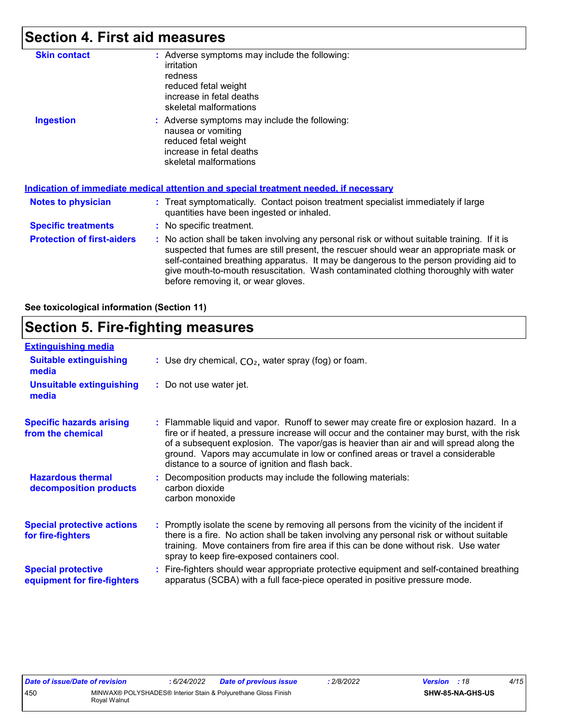### **Section 4. First aid measures**

| <b>Skin contact</b>               | : Adverse symptoms may include the following:<br>irritation<br>redness<br>reduced fetal weight<br>increase in fetal deaths<br>skeletal malformations                                                                                                                                                                                                                                                            |
|-----------------------------------|-----------------------------------------------------------------------------------------------------------------------------------------------------------------------------------------------------------------------------------------------------------------------------------------------------------------------------------------------------------------------------------------------------------------|
| <b>Ingestion</b>                  | : Adverse symptoms may include the following:<br>nausea or vomiting<br>reduced fetal weight<br>increase in fetal deaths<br>skeletal malformations<br><u>Indication of immediate medical attention and special treatment needed, if necessary</u>                                                                                                                                                                |
| <b>Notes to physician</b>         | : Treat symptomatically. Contact poison treatment specialist immediately if large<br>quantities have been ingested or inhaled.                                                                                                                                                                                                                                                                                  |
| <b>Specific treatments</b>        | : No specific treatment.                                                                                                                                                                                                                                                                                                                                                                                        |
| <b>Protection of first-aiders</b> | : No action shall be taken involving any personal risk or without suitable training. If it is<br>suspected that fumes are still present, the rescuer should wear an appropriate mask or<br>self-contained breathing apparatus. It may be dangerous to the person providing aid to<br>give mouth-to-mouth resuscitation. Wash contaminated clothing thoroughly with water<br>before removing it, or wear gloves. |

#### **See toxicological information (Section 11)**

### **Section 5. Fire-fighting measures**

| <b>Extinguishing media</b>                               |                                                                                                                                                                                                                                                                                                                                                                                                                          |
|----------------------------------------------------------|--------------------------------------------------------------------------------------------------------------------------------------------------------------------------------------------------------------------------------------------------------------------------------------------------------------------------------------------------------------------------------------------------------------------------|
| <b>Suitable extinguishing</b><br>media                   | : Use dry chemical, $CO2$ , water spray (fog) or foam.                                                                                                                                                                                                                                                                                                                                                                   |
| <b>Unsuitable extinguishing</b><br>media                 | : Do not use water jet.                                                                                                                                                                                                                                                                                                                                                                                                  |
| <b>Specific hazards arising</b><br>from the chemical     | : Flammable liquid and vapor. Runoff to sewer may create fire or explosion hazard. In a<br>fire or if heated, a pressure increase will occur and the container may burst, with the risk<br>of a subsequent explosion. The vapor/gas is heavier than air and will spread along the<br>ground. Vapors may accumulate in low or confined areas or travel a considerable<br>distance to a source of ignition and flash back. |
| <b>Hazardous thermal</b><br>decomposition products       | Decomposition products may include the following materials:<br>carbon dioxide<br>carbon monoxide                                                                                                                                                                                                                                                                                                                         |
| <b>Special protective actions</b><br>for fire-fighters   | : Promptly isolate the scene by removing all persons from the vicinity of the incident if<br>there is a fire. No action shall be taken involving any personal risk or without suitable<br>training. Move containers from fire area if this can be done without risk. Use water<br>spray to keep fire-exposed containers cool.                                                                                            |
| <b>Special protective</b><br>equipment for fire-fighters | Fire-fighters should wear appropriate protective equipment and self-contained breathing<br>apparatus (SCBA) with a full face-piece operated in positive pressure mode.                                                                                                                                                                                                                                                   |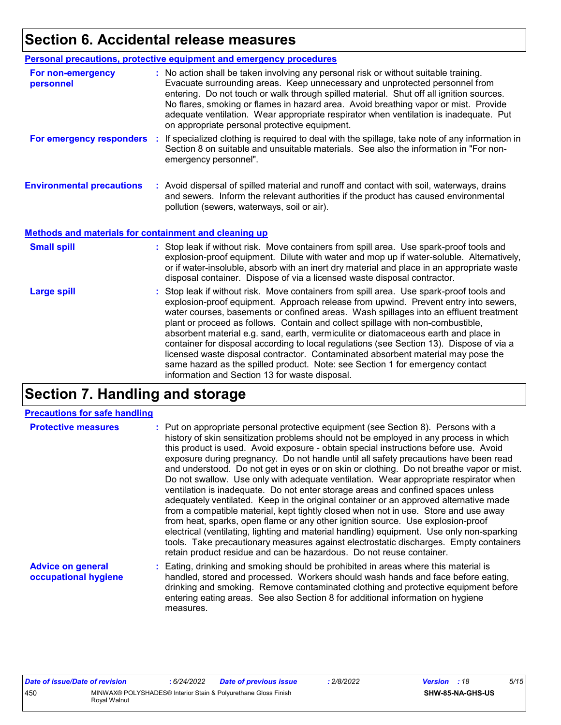### **Section 6. Accidental release measures**

|                                                              | Personal precautions, protective equipment and emergency procedures                                                                                                                                                                                                                                                                                                                                                                                                                                                                                                                                                                                                                                                                                                  |
|--------------------------------------------------------------|----------------------------------------------------------------------------------------------------------------------------------------------------------------------------------------------------------------------------------------------------------------------------------------------------------------------------------------------------------------------------------------------------------------------------------------------------------------------------------------------------------------------------------------------------------------------------------------------------------------------------------------------------------------------------------------------------------------------------------------------------------------------|
| For non-emergency<br>personnel                               | : No action shall be taken involving any personal risk or without suitable training.<br>Evacuate surrounding areas. Keep unnecessary and unprotected personnel from<br>entering. Do not touch or walk through spilled material. Shut off all ignition sources.<br>No flares, smoking or flames in hazard area. Avoid breathing vapor or mist. Provide<br>adequate ventilation. Wear appropriate respirator when ventilation is inadequate. Put<br>on appropriate personal protective equipment.                                                                                                                                                                                                                                                                      |
|                                                              | For emergency responders : If specialized clothing is required to deal with the spillage, take note of any information in<br>Section 8 on suitable and unsuitable materials. See also the information in "For non-<br>emergency personnel".                                                                                                                                                                                                                                                                                                                                                                                                                                                                                                                          |
| <b>Environmental precautions</b>                             | : Avoid dispersal of spilled material and runoff and contact with soil, waterways, drains<br>and sewers. Inform the relevant authorities if the product has caused environmental<br>pollution (sewers, waterways, soil or air).                                                                                                                                                                                                                                                                                                                                                                                                                                                                                                                                      |
| <b>Methods and materials for containment and cleaning up</b> |                                                                                                                                                                                                                                                                                                                                                                                                                                                                                                                                                                                                                                                                                                                                                                      |
| <b>Small spill</b>                                           | : Stop leak if without risk. Move containers from spill area. Use spark-proof tools and<br>explosion-proof equipment. Dilute with water and mop up if water-soluble. Alternatively,<br>or if water-insoluble, absorb with an inert dry material and place in an appropriate waste<br>disposal container. Dispose of via a licensed waste disposal contractor.                                                                                                                                                                                                                                                                                                                                                                                                        |
| <b>Large spill</b>                                           | : Stop leak if without risk. Move containers from spill area. Use spark-proof tools and<br>explosion-proof equipment. Approach release from upwind. Prevent entry into sewers,<br>water courses, basements or confined areas. Wash spillages into an effluent treatment<br>plant or proceed as follows. Contain and collect spillage with non-combustible,<br>absorbent material e.g. sand, earth, vermiculite or diatomaceous earth and place in<br>container for disposal according to local regulations (see Section 13). Dispose of via a<br>licensed waste disposal contractor. Contaminated absorbent material may pose the<br>same hazard as the spilled product. Note: see Section 1 for emergency contact<br>information and Section 13 for waste disposal. |

### **Section 7. Handling and storage**

#### **Precautions for safe handling**

| <b>Protective measures</b>                       | : Put on appropriate personal protective equipment (see Section 8). Persons with a<br>history of skin sensitization problems should not be employed in any process in which<br>this product is used. Avoid exposure - obtain special instructions before use. Avoid<br>exposure during pregnancy. Do not handle until all safety precautions have been read<br>and understood. Do not get in eyes or on skin or clothing. Do not breathe vapor or mist.<br>Do not swallow. Use only with adequate ventilation. Wear appropriate respirator when<br>ventilation is inadequate. Do not enter storage areas and confined spaces unless<br>adequately ventilated. Keep in the original container or an approved alternative made<br>from a compatible material, kept tightly closed when not in use. Store and use away<br>from heat, sparks, open flame or any other ignition source. Use explosion-proof<br>electrical (ventilating, lighting and material handling) equipment. Use only non-sparking<br>tools. Take precautionary measures against electrostatic discharges. Empty containers<br>retain product residue and can be hazardous. Do not reuse container. |
|--------------------------------------------------|----------------------------------------------------------------------------------------------------------------------------------------------------------------------------------------------------------------------------------------------------------------------------------------------------------------------------------------------------------------------------------------------------------------------------------------------------------------------------------------------------------------------------------------------------------------------------------------------------------------------------------------------------------------------------------------------------------------------------------------------------------------------------------------------------------------------------------------------------------------------------------------------------------------------------------------------------------------------------------------------------------------------------------------------------------------------------------------------------------------------------------------------------------------------|
| <b>Advice on general</b><br>occupational hygiene | : Eating, drinking and smoking should be prohibited in areas where this material is<br>handled, stored and processed. Workers should wash hands and face before eating,<br>drinking and smoking. Remove contaminated clothing and protective equipment before<br>entering eating areas. See also Section 8 for additional information on hygiene                                                                                                                                                                                                                                                                                                                                                                                                                                                                                                                                                                                                                                                                                                                                                                                                                     |

measures.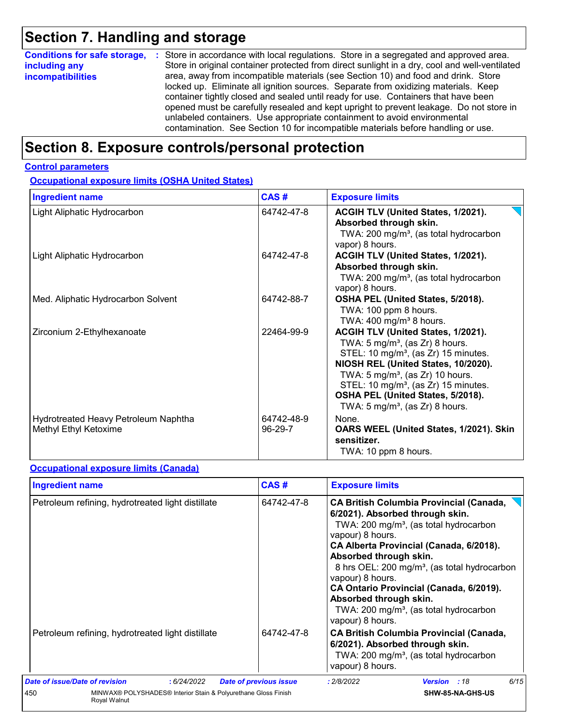## **Section 7. Handling and storage**

| <b>Conditions for safe storage,</b> | : Store in accordance with local regulations. Store in a segregated and approved area.        |  |  |  |  |  |
|-------------------------------------|-----------------------------------------------------------------------------------------------|--|--|--|--|--|
| including any                       | Store in original container protected from direct sunlight in a dry, cool and well-ventilated |  |  |  |  |  |
| incompatibilities                   | area, away from incompatible materials (see Section 10) and food and drink. Store             |  |  |  |  |  |
|                                     | locked up. Eliminate all ignition sources. Separate from oxidizing materials. Keep            |  |  |  |  |  |
|                                     | container tightly closed and sealed until ready for use. Containers that have been            |  |  |  |  |  |
|                                     | opened must be carefully resealed and kept upright to prevent leakage. Do not store in        |  |  |  |  |  |
|                                     | unlabeled containers. Use appropriate containment to avoid environmental                      |  |  |  |  |  |
|                                     | contamination. See Section 10 for incompatible materials before handling or use.              |  |  |  |  |  |

### **Section 8. Exposure controls/personal protection**

#### **Control parameters**

**Occupational exposure limits (OSHA United States)**

| <b>Ingredient name</b>                                        | CAS#                  | <b>Exposure limits</b>                                                                                                                                                                                                                                                                                                                                                 |
|---------------------------------------------------------------|-----------------------|------------------------------------------------------------------------------------------------------------------------------------------------------------------------------------------------------------------------------------------------------------------------------------------------------------------------------------------------------------------------|
| Light Aliphatic Hydrocarbon                                   | 64742-47-8            | ACGIH TLV (United States, 1/2021).<br>Absorbed through skin.<br>TWA: 200 mg/m <sup>3</sup> , (as total hydrocarbon<br>vapor) 8 hours.                                                                                                                                                                                                                                  |
| Light Aliphatic Hydrocarbon                                   | 64742-47-8            | ACGIH TLV (United States, 1/2021).<br>Absorbed through skin.<br>TWA: 200 mg/m <sup>3</sup> , (as total hydrocarbon<br>vapor) 8 hours.                                                                                                                                                                                                                                  |
| Med. Aliphatic Hydrocarbon Solvent                            | 64742-88-7            | OSHA PEL (United States, 5/2018).<br>TWA: 100 ppm 8 hours.<br>TWA: $400 \text{ mg/m}^3$ 8 hours.                                                                                                                                                                                                                                                                       |
| Zirconium 2-Ethylhexanoate                                    | 22464-99-9            | ACGIH TLV (United States, 1/2021).<br>TWA: 5 mg/m <sup>3</sup> , (as $Zr$ ) 8 hours.<br>STEL: 10 mg/m <sup>3</sup> , (as Zr) 15 minutes.<br>NIOSH REL (United States, 10/2020).<br>TWA: $5 \text{ mg/m}^3$ , (as Zr) 10 hours.<br>STEL: 10 mg/m <sup>3</sup> , (as Zr) 15 minutes.<br>OSHA PEL (United States, 5/2018).<br>TWA: 5 mg/m <sup>3</sup> , (as Zr) 8 hours. |
| Hydrotreated Heavy Petroleum Naphtha<br>Methyl Ethyl Ketoxime | 64742-48-9<br>96-29-7 | None.<br>OARS WEEL (United States, 1/2021). Skin<br>sensitizer.<br>TWA: 10 ppm 8 hours.                                                                                                                                                                                                                                                                                |

#### **Occupational exposure limits (Canada)**

| Ingredient name                                                                       | CAS#                          | <b>Exposure limits</b>                                                                                                                                                                                                                                                                                                                                                                                                                                          |  |  |  |
|---------------------------------------------------------------------------------------|-------------------------------|-----------------------------------------------------------------------------------------------------------------------------------------------------------------------------------------------------------------------------------------------------------------------------------------------------------------------------------------------------------------------------------------------------------------------------------------------------------------|--|--|--|
| Petroleum refining, hydrotreated light distillate                                     | 64742-47-8                    | <b>CA British Columbia Provincial (Canada,</b><br>6/2021). Absorbed through skin.<br>TWA: 200 mg/m <sup>3</sup> , (as total hydrocarbon<br>vapour) 8 hours.<br>CA Alberta Provincial (Canada, 6/2018).<br>Absorbed through skin.<br>8 hrs OEL: 200 mg/m <sup>3</sup> , (as total hydrocarbon<br>vapour) 8 hours.<br>CA Ontario Provincial (Canada, 6/2019).<br>Absorbed through skin.<br>TWA: 200 mg/m <sup>3</sup> , (as total hydrocarbon<br>vapour) 8 hours. |  |  |  |
| Petroleum refining, hydrotreated light distillate                                     | 64742-47-8                    | <b>CA British Columbia Provincial (Canada,</b><br>6/2021). Absorbed through skin.<br>TWA: 200 mg/m <sup>3</sup> , (as total hydrocarbon<br>vapour) 8 hours.                                                                                                                                                                                                                                                                                                     |  |  |  |
| <b>Date of issue/Date of revision</b><br>: 6/24/2022                                  | <b>Date of previous issue</b> | 6/15<br>: 2/8/2022<br>Version : 18                                                                                                                                                                                                                                                                                                                                                                                                                              |  |  |  |
| MINWAX® POLYSHADES® Interior Stain & Polyurethane Gloss Finish<br>450<br>Royal Walnut |                               | SHW-85-NA-GHS-US                                                                                                                                                                                                                                                                                                                                                                                                                                                |  |  |  |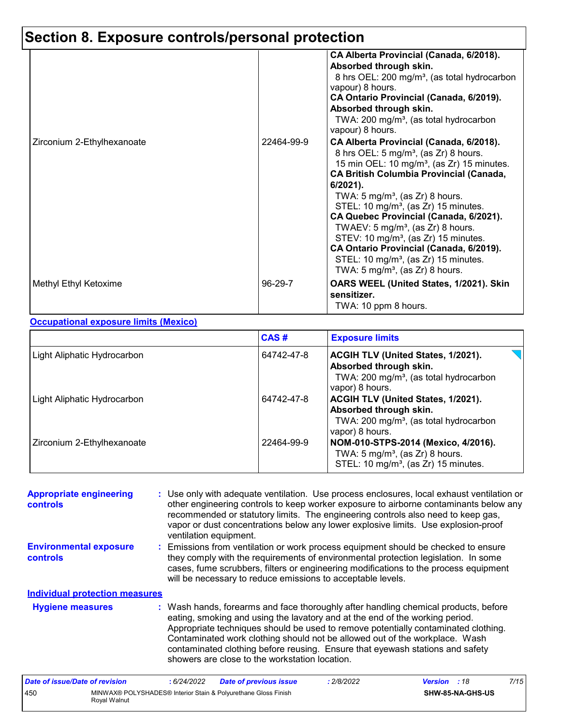## **Section 8. Exposure controls/personal protection**

|                            | 22464-99-9 | CA Alberta Provincial (Canada, 6/2018).<br>Absorbed through skin.<br>8 hrs OEL: 200 mg/m <sup>3</sup> , (as total hydrocarbon<br>vapour) 8 hours.<br>CA Ontario Provincial (Canada, 6/2019).<br>Absorbed through skin.<br>TWA: 200 mg/m <sup>3</sup> , (as total hydrocarbon<br>vapour) 8 hours.                                                                                                                                                                                                                                                                                                                       |
|----------------------------|------------|------------------------------------------------------------------------------------------------------------------------------------------------------------------------------------------------------------------------------------------------------------------------------------------------------------------------------------------------------------------------------------------------------------------------------------------------------------------------------------------------------------------------------------------------------------------------------------------------------------------------|
| Zirconium 2-Ethylhexanoate |            | CA Alberta Provincial (Canada, 6/2018).<br>8 hrs OEL: 5 mg/m <sup>3</sup> , (as Zr) 8 hours.<br>15 min OEL: 10 mg/m <sup>3</sup> , (as Zr) 15 minutes.<br><b>CA British Columbia Provincial (Canada,</b><br>$6/2021$ ).<br>TWA: 5 mg/m <sup>3</sup> , (as Zr) 8 hours.<br>STEL: 10 mg/m <sup>3</sup> , (as Zr) 15 minutes.<br>CA Quebec Provincial (Canada, 6/2021).<br>TWAEV: $5 \text{ mg/m}^3$ , (as Zr) 8 hours.<br>STEV: 10 mg/m <sup>3</sup> , (as Zr) 15 minutes.<br>CA Ontario Provincial (Canada, 6/2019).<br>STEL: 10 mg/m <sup>3</sup> , (as Zr) 15 minutes.<br>TWA: 5 mg/m <sup>3</sup> , (as Zr) 8 hours. |
| Methyl Ethyl Ketoxime      | 96-29-7    | OARS WEEL (United States, 1/2021). Skin<br>sensitizer.<br>TWA: 10 ppm 8 hours.                                                                                                                                                                                                                                                                                                                                                                                                                                                                                                                                         |

#### **Occupational exposure limits (Mexico)**

|                             | CAS#       | <b>Exposure limits</b>                                                                                                                       |
|-----------------------------|------------|----------------------------------------------------------------------------------------------------------------------------------------------|
| Light Aliphatic Hydrocarbon | 64742-47-8 | ACGIH TLV (United States, 1/2021).<br>Absorbed through skin.<br>TWA: 200 mg/m <sup>3</sup> , (as total hydrocarbon<br>vapor) 8 hours.        |
| Light Aliphatic Hydrocarbon | 64742-47-8 | <b>ACGIH TLV (United States, 1/2021).</b><br>Absorbed through skin.<br>TWA: 200 mg/m <sup>3</sup> , (as total hydrocarbon<br>vapor) 8 hours. |
| Zirconium 2-Ethylhexanoate  | 22464-99-9 | NOM-010-STPS-2014 (Mexico, 4/2016).<br>TWA: $5 \text{ mg/m}^3$ , (as Zr) 8 hours.<br>STEL: 10 mg/m <sup>3</sup> , (as Zr) 15 minutes.        |

| <b>Appropriate engineering</b><br>controls | : Use only with adequate ventilation. Use process enclosures, local exhaust ventilation or<br>other engineering controls to keep worker exposure to airborne contaminants below any<br>recommended or statutory limits. The engineering controls also need to keep gas,<br>vapor or dust concentrations below any lower explosive limits. Use explosion-proof<br>ventilation equipment.                                                                                     |
|--------------------------------------------|-----------------------------------------------------------------------------------------------------------------------------------------------------------------------------------------------------------------------------------------------------------------------------------------------------------------------------------------------------------------------------------------------------------------------------------------------------------------------------|
| <b>Environmental exposure</b><br>controls  | : Emissions from ventilation or work process equipment should be checked to ensure<br>they comply with the requirements of environmental protection legislation. In some<br>cases, fume scrubbers, filters or engineering modifications to the process equipment<br>will be necessary to reduce emissions to acceptable levels.                                                                                                                                             |
| <b>Individual protection measures</b>      |                                                                                                                                                                                                                                                                                                                                                                                                                                                                             |
| <b>Hygiene measures</b>                    | : Wash hands, forearms and face thoroughly after handling chemical products, before<br>eating, smoking and using the lavatory and at the end of the working period.<br>Appropriate techniques should be used to remove potentially contaminated clothing.<br>Contaminated work clothing should not be allowed out of the workplace. Wash<br>contaminated clothing before reusing. Ensure that eyewash stations and safety<br>showers are close to the workstation location. |

| Date of issue/Date of revision |              | 6/24/2022 | <b>Date of previous issue</b>                                  | : 2/8/2022 | <b>Version</b> : 18 |                  | 7/15 |
|--------------------------------|--------------|-----------|----------------------------------------------------------------|------------|---------------------|------------------|------|
| 450                            | Roval Walnut |           | MINWAX® POLYSHADES® Interior Stain & Polyurethane Gloss Finish |            |                     | SHW-85-NA-GHS-US |      |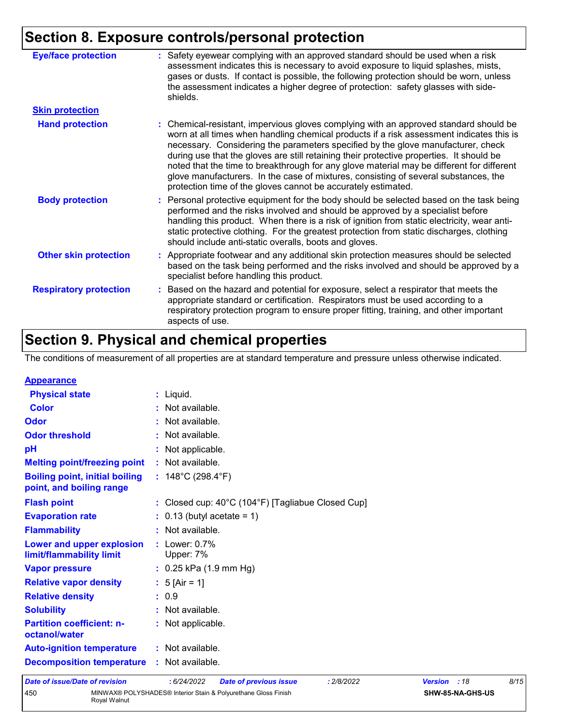### **Section 8. Exposure controls/personal protection**

| <b>Eye/face protection</b>    | Safety eyewear complying with an approved standard should be used when a risk<br>assessment indicates this is necessary to avoid exposure to liquid splashes, mists,<br>gases or dusts. If contact is possible, the following protection should be worn, unless<br>the assessment indicates a higher degree of protection: safety glasses with side-<br>shields.                                                                                                                                                                                                                                                       |
|-------------------------------|------------------------------------------------------------------------------------------------------------------------------------------------------------------------------------------------------------------------------------------------------------------------------------------------------------------------------------------------------------------------------------------------------------------------------------------------------------------------------------------------------------------------------------------------------------------------------------------------------------------------|
| <b>Skin protection</b>        |                                                                                                                                                                                                                                                                                                                                                                                                                                                                                                                                                                                                                        |
| <b>Hand protection</b>        | : Chemical-resistant, impervious gloves complying with an approved standard should be<br>worn at all times when handling chemical products if a risk assessment indicates this is<br>necessary. Considering the parameters specified by the glove manufacturer, check<br>during use that the gloves are still retaining their protective properties. It should be<br>noted that the time to breakthrough for any glove material may be different for different<br>glove manufacturers. In the case of mixtures, consisting of several substances, the<br>protection time of the gloves cannot be accurately estimated. |
| <b>Body protection</b>        | : Personal protective equipment for the body should be selected based on the task being<br>performed and the risks involved and should be approved by a specialist before<br>handling this product. When there is a risk of ignition from static electricity, wear anti-<br>static protective clothing. For the greatest protection from static discharges, clothing<br>should include anti-static overalls, boots and gloves.                                                                                                                                                                                         |
| <b>Other skin protection</b>  | : Appropriate footwear and any additional skin protection measures should be selected<br>based on the task being performed and the risks involved and should be approved by a<br>specialist before handling this product.                                                                                                                                                                                                                                                                                                                                                                                              |
| <b>Respiratory protection</b> | : Based on the hazard and potential for exposure, select a respirator that meets the<br>appropriate standard or certification. Respirators must be used according to a<br>respiratory protection program to ensure proper fitting, training, and other important<br>aspects of use.                                                                                                                                                                                                                                                                                                                                    |

### **Section 9. Physical and chemical properties**

The conditions of measurement of all properties are at standard temperature and pressure unless otherwise indicated.

|                                  |                                                                                                                                                                                                                                                                                                                                                                                                                                                                                                                        |                | 8/15 |
|----------------------------------|------------------------------------------------------------------------------------------------------------------------------------------------------------------------------------------------------------------------------------------------------------------------------------------------------------------------------------------------------------------------------------------------------------------------------------------------------------------------------------------------------------------------|----------------|------|
| <b>Decomposition temperature</b> |                                                                                                                                                                                                                                                                                                                                                                                                                                                                                                                        |                |      |
|                                  |                                                                                                                                                                                                                                                                                                                                                                                                                                                                                                                        |                |      |
|                                  |                                                                                                                                                                                                                                                                                                                                                                                                                                                                                                                        |                |      |
|                                  |                                                                                                                                                                                                                                                                                                                                                                                                                                                                                                                        |                |      |
|                                  |                                                                                                                                                                                                                                                                                                                                                                                                                                                                                                                        |                |      |
|                                  |                                                                                                                                                                                                                                                                                                                                                                                                                                                                                                                        |                |      |
|                                  |                                                                                                                                                                                                                                                                                                                                                                                                                                                                                                                        |                |      |
|                                  |                                                                                                                                                                                                                                                                                                                                                                                                                                                                                                                        |                |      |
|                                  |                                                                                                                                                                                                                                                                                                                                                                                                                                                                                                                        |                |      |
|                                  |                                                                                                                                                                                                                                                                                                                                                                                                                                                                                                                        |                |      |
|                                  |                                                                                                                                                                                                                                                                                                                                                                                                                                                                                                                        |                |      |
|                                  |                                                                                                                                                                                                                                                                                                                                                                                                                                                                                                                        |                |      |
|                                  |                                                                                                                                                                                                                                                                                                                                                                                                                                                                                                                        |                |      |
|                                  |                                                                                                                                                                                                                                                                                                                                                                                                                                                                                                                        |                |      |
|                                  |                                                                                                                                                                                                                                                                                                                                                                                                                                                                                                                        |                |      |
|                                  |                                                                                                                                                                                                                                                                                                                                                                                                                                                                                                                        |                |      |
|                                  |                                                                                                                                                                                                                                                                                                                                                                                                                                                                                                                        |                |      |
|                                  |                                                                                                                                                                                                                                                                                                                                                                                                                                                                                                                        |                |      |
|                                  |                                                                                                                                                                                                                                                                                                                                                                                                                                                                                                                        |                |      |
|                                  |                                                                                                                                                                                                                                                                                                                                                                                                                                                                                                                        |                |      |
|                                  | $:$ Liquid.<br>: Not available.<br>: Not available.<br>: Not available.<br>: Not applicable.<br>: Not available.<br>: $148^{\circ}$ C (298.4 $^{\circ}$ F)<br>: Closed cup: 40°C (104°F) [Tagliabue Closed Cup]<br>$\therefore$ 0.13 (butyl acetate = 1)<br>: Not available.<br>$:$ Lower: $0.7\%$<br>Upper: 7%<br>$: 0.25$ kPa (1.9 mm Hg)<br>: $5 [Air = 1]$<br>: 0.9<br>: Not available.<br>: Not applicable.<br>: Not available.<br>: Not available.<br>: 6/24/2022<br><b>Date of previous issue</b><br>: 2/8/2022 | <b>Version</b> | :18  |

Royal Walnut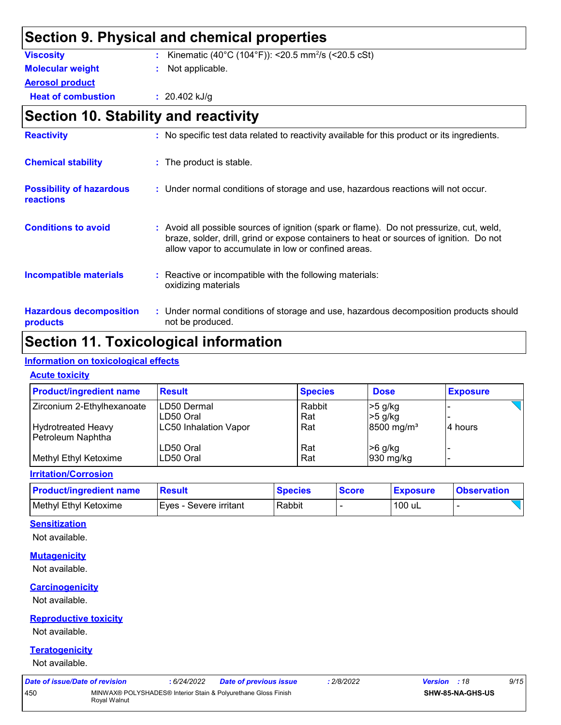### **Section 9. Physical and chemical properties**

| <b>Viscosity</b>          | : Kinematic (40°C (104°F)): <20.5 mm <sup>2</sup> /s (<20.5 cSt) |
|---------------------------|------------------------------------------------------------------|
| <b>Molecular weight</b>   | : Not applicable.                                                |
| <b>Aerosol product</b>    |                                                                  |
| <b>Heat of combustion</b> | : $20.402$ kJ/g                                                  |
|                           |                                                                  |

### **Section 10. Stability and reactivity**

| <b>Reactivity</b>                                   | : No specific test data related to reactivity available for this product or its ingredients.                                                                                                                                               |
|-----------------------------------------------------|--------------------------------------------------------------------------------------------------------------------------------------------------------------------------------------------------------------------------------------------|
| <b>Chemical stability</b>                           | : The product is stable.                                                                                                                                                                                                                   |
| <b>Possibility of hazardous</b><br><b>reactions</b> | : Under normal conditions of storage and use, hazardous reactions will not occur.                                                                                                                                                          |
| <b>Conditions to avoid</b>                          | : Avoid all possible sources of ignition (spark or flame). Do not pressurize, cut, weld,<br>braze, solder, drill, grind or expose containers to heat or sources of ignition. Do not<br>allow vapor to accumulate in low or confined areas. |
| <b>Incompatible materials</b>                       | : Reactive or incompatible with the following materials:<br>oxidizing materials                                                                                                                                                            |
| <b>Hazardous decomposition</b><br>products          | : Under normal conditions of storage and use, hazardous decomposition products should<br>not be produced.                                                                                                                                  |

### **Section 11. Toxicological information**

#### **Information on toxicological effects**

#### **Acute toxicity**

| <b>Product/ingredient name</b> | <b>Result</b>                | <b>Species</b> | <b>Dose</b>              | <b>Exposure</b> |
|--------------------------------|------------------------------|----------------|--------------------------|-----------------|
| Zirconium 2-Ethylhexanoate     | ILD50 Dermal                 | Rabbit         | $>5$ g/kg                |                 |
|                                | ILD50 Oral                   | Rat            | $>5$ g/kg                |                 |
| <b>Hydrotreated Heavy</b>      | <b>LC50 Inhalation Vapor</b> | Rat            | $8500$ mg/m <sup>3</sup> | 4 hours         |
| Petroleum Naphtha              |                              |                |                          |                 |
|                                | LD50 Oral                    | Rat            | >6 g/kg                  |                 |
| Methyl Ethyl Ketoxime          | LD50 Oral                    | Rat            | 930 mg/kg                |                 |

#### **Irritation/Corrosion**

| <b>Product/ingredient name</b> | Result                 | <b>Species</b> | <b>Score</b> | <b>Exposure</b> | <b>Observation</b> |
|--------------------------------|------------------------|----------------|--------------|-----------------|--------------------|
| Methyl Ethyl Ketoxime          | Eves - Severe irritant | Rabbit         |              | 100 uL          |                    |

#### **Sensitization**

Not available.

#### **Mutagenicity**

Not available.

#### **Carcinogenicity**

Not available.

#### **Reproductive toxicity**

Not available.

#### **Teratogenicity**

Not available.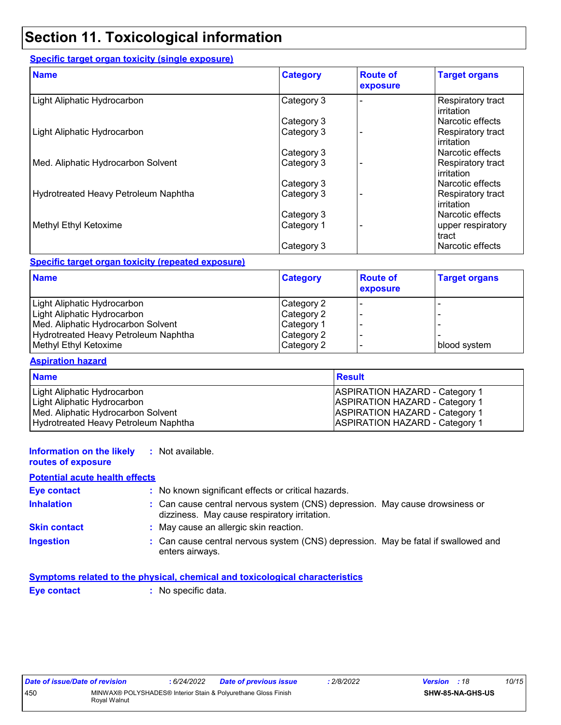### **Section 11. Toxicological information**

#### **Specific target organ toxicity (single exposure)**

| <b>Name</b>                          | <b>Category</b> | <b>Route of</b><br>exposure | <b>Target organs</b>                   |
|--------------------------------------|-----------------|-----------------------------|----------------------------------------|
| Light Aliphatic Hydrocarbon          | Category 3      |                             | Respiratory tract<br>irritation        |
|                                      | Category 3      |                             | Narcotic effects                       |
| Light Aliphatic Hydrocarbon          | Category 3      |                             | Respiratory tract<br>irritation        |
|                                      | Category 3      |                             | Narcotic effects                       |
| Med. Aliphatic Hydrocarbon Solvent   | Category 3      |                             | Respiratory tract<br><b>irritation</b> |
|                                      | Category 3      |                             | Narcotic effects                       |
| Hydrotreated Heavy Petroleum Naphtha | Category 3      |                             | Respiratory tract<br><b>irritation</b> |
|                                      | Category 3      |                             | Narcotic effects                       |
| Methyl Ethyl Ketoxime                | Category 1      |                             | upper respiratory<br>tract             |
|                                      | Category 3      |                             | Narcotic effects                       |

#### **Specific target organ toxicity (repeated exposure)**

| <b>Name</b>                          | <b>Category</b> | <b>Route of</b><br>exposure | <b>Target organs</b> |
|--------------------------------------|-----------------|-----------------------------|----------------------|
| Light Aliphatic Hydrocarbon          | Category 2      |                             |                      |
| Light Aliphatic Hydrocarbon          | Category 2      |                             |                      |
| Med. Aliphatic Hydrocarbon Solvent   | Category 1      |                             |                      |
| Hydrotreated Heavy Petroleum Naphtha | Category 2      |                             |                      |
| Methyl Ethyl Ketoxime                | Category 2      |                             | blood system         |

#### **Aspiration hazard**

| <b>Name</b>                          | <b>Result</b>                         |
|--------------------------------------|---------------------------------------|
| Light Aliphatic Hydrocarbon          | <b>ASPIRATION HAZARD - Category 1</b> |
| Light Aliphatic Hydrocarbon          | <b>ASPIRATION HAZARD - Category 1</b> |
| Med. Aliphatic Hydrocarbon Solvent   | <b>ASPIRATION HAZARD - Category 1</b> |
| Hydrotreated Heavy Petroleum Naphtha | <b>ASPIRATION HAZARD - Category 1</b> |

| Information on the likely<br>routes of exposure | : Not available.                                                                                                             |
|-------------------------------------------------|------------------------------------------------------------------------------------------------------------------------------|
| <b>Potential acute health effects</b>           |                                                                                                                              |
| <b>Eye contact</b>                              | : No known significant effects or critical hazards.                                                                          |
| <b>Inhalation</b>                               | : Can cause central nervous system (CNS) depression. May cause drowsiness or<br>dizziness. May cause respiratory irritation. |
| <b>Skin contact</b>                             | : May cause an allergic skin reaction.                                                                                       |
| <b>Ingestion</b>                                | : Can cause central nervous system (CNS) depression. May be fatal if swallowed and<br>enters airways.                        |

|             | Symptoms related to the physical, chemical and toxicological characteristics |  |
|-------------|------------------------------------------------------------------------------|--|
| Eye contact | : No specific data.                                                          |  |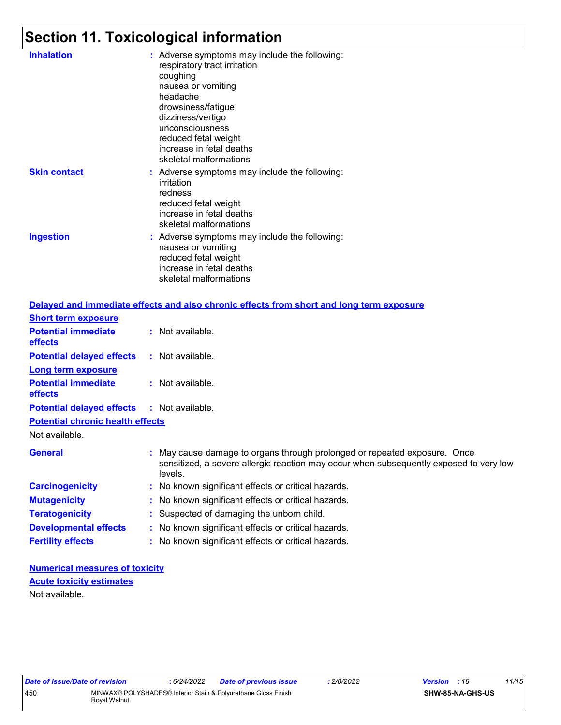### **Section 11. Toxicological information**

| <b>Inhalation</b>   | : Adverse symptoms may include the following:<br>respiratory tract irritation<br>coughing<br>nausea or vomiting<br>headache<br>drowsiness/fatigue<br>dizziness/vertigo<br>unconsciousness<br>reduced fetal weight<br>increase in fetal deaths<br>skeletal malformations |
|---------------------|-------------------------------------------------------------------------------------------------------------------------------------------------------------------------------------------------------------------------------------------------------------------------|
| <b>Skin contact</b> | : Adverse symptoms may include the following:<br>irritation<br>redness<br>reduced fetal weight<br>increase in fetal deaths<br>skeletal malformations                                                                                                                    |
| <b>Ingestion</b>    | : Adverse symptoms may include the following:<br>nausea or vomiting<br>reduced fetal weight<br>increase in fetal deaths<br>skeletal malformations                                                                                                                       |

|                                                   | Delayed and immediate effects and also chronic effects from short and long term exposure                                                                                       |
|---------------------------------------------------|--------------------------------------------------------------------------------------------------------------------------------------------------------------------------------|
| <b>Short term exposure</b>                        |                                                                                                                                                                                |
| <b>Potential immediate</b><br>effects             | $:$ Not available.                                                                                                                                                             |
| <b>Potential delayed effects</b>                  | : Not available.                                                                                                                                                               |
| <b>Long term exposure</b>                         |                                                                                                                                                                                |
| <b>Potential immediate</b><br><b>effects</b>      | : Not available.                                                                                                                                                               |
| <b>Potential delayed effects : Not available.</b> |                                                                                                                                                                                |
| <b>Potential chronic health effects</b>           |                                                                                                                                                                                |
| Not available.                                    |                                                                                                                                                                                |
| <b>General</b>                                    | : May cause damage to organs through prolonged or repeated exposure. Once<br>sensitized, a severe allergic reaction may occur when subsequently exposed to very low<br>levels. |
| <b>Carcinogenicity</b>                            | : No known significant effects or critical hazards.                                                                                                                            |
| <b>Mutagenicity</b>                               | : No known significant effects or critical hazards.                                                                                                                            |
| <b>Teratogenicity</b>                             | : Suspected of damaging the unborn child.                                                                                                                                      |
| <b>Developmental effects</b>                      | : No known significant effects or critical hazards.                                                                                                                            |
| <b>Fertility effects</b>                          | : No known significant effects or critical hazards.                                                                                                                            |

#### **Numerical measures of toxicity** Not available. **Acute toxicity estimates**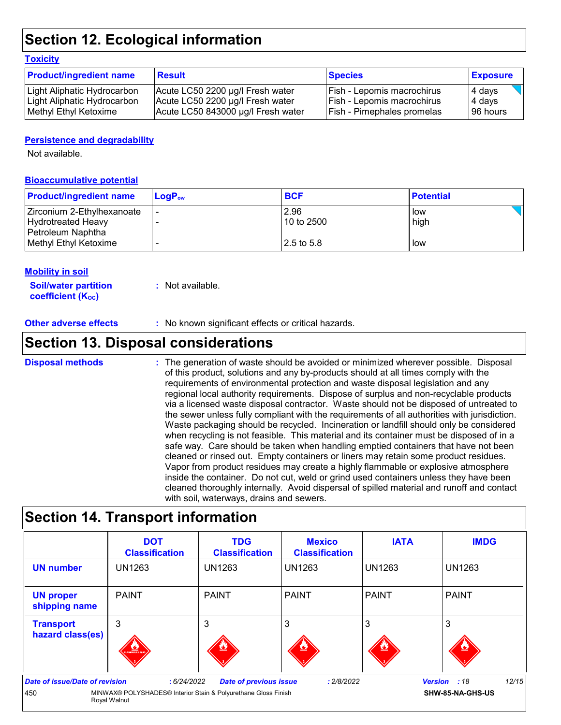### **Section 12. Ecological information**

#### **Toxicity**

| <b>Product/ingredient name</b> | <b>Result</b>                      | <b>Species</b>                    | <b>Exposure</b> |
|--------------------------------|------------------------------------|-----------------------------------|-----------------|
| Light Aliphatic Hydrocarbon    | Acute LC50 2200 µg/l Fresh water   | <b>Fish - Lepomis macrochirus</b> | 4 days          |
| Light Aliphatic Hydrocarbon    | Acute LC50 2200 µg/l Fresh water   | Fish - Lepomis macrochirus        | 4 days          |
| Methyl Ethyl Ketoxime          | Acute LC50 843000 µg/l Fresh water | <b>Fish - Pimephales promelas</b> | 196 hours       |

#### **Persistence and degradability**

Not available.

#### **Bioaccumulative potential**

| <b>Product/ingredient name</b> | $\mathsf{LogP}_\mathsf{ow}$ | <b>BCF</b> | <b>Potential</b> |
|--------------------------------|-----------------------------|------------|------------------|
| Zirconium 2-Ethylhexanoate     |                             | 2.96       | low              |
| Hydrotreated Heavy             |                             | 10 to 2500 | high             |
| Petroleum Naphtha              |                             |            |                  |
| Methyl Ethyl Ketoxime          |                             | 2.5 to 5.8 | low              |

#### **Mobility in soil**

**Soil/water partition coefficient (KOC) :** Not available.

**Other adverse effects :** No known significant effects or critical hazards.

### **Section 13. Disposal considerations**

#### **Disposal methods :**

The generation of waste should be avoided or minimized wherever possible. Disposal of this product, solutions and any by-products should at all times comply with the requirements of environmental protection and waste disposal legislation and any regional local authority requirements. Dispose of surplus and non-recyclable products via a licensed waste disposal contractor. Waste should not be disposed of untreated to the sewer unless fully compliant with the requirements of all authorities with jurisdiction. Waste packaging should be recycled. Incineration or landfill should only be considered when recycling is not feasible. This material and its container must be disposed of in a safe way. Care should be taken when handling emptied containers that have not been cleaned or rinsed out. Empty containers or liners may retain some product residues. Vapor from product residues may create a highly flammable or explosive atmosphere inside the container. Do not cut, weld or grind used containers unless they have been cleaned thoroughly internally. Avoid dispersal of spilled material and runoff and contact with soil, waterways, drains and sewers.

### **Section 14. Transport information**

|                                                                                                                         | <b>DOT</b><br><b>Classification</b> | <b>TDG</b><br><b>Classification</b>       | <b>Mexico</b><br><b>Classification</b> | <b>IATA</b>   | <b>IMDG</b>   |
|-------------------------------------------------------------------------------------------------------------------------|-------------------------------------|-------------------------------------------|----------------------------------------|---------------|---------------|
| <b>UN number</b>                                                                                                        | <b>UN1263</b>                       | <b>UN1263</b>                             | <b>UN1263</b>                          | <b>UN1263</b> | <b>UN1263</b> |
| <b>UN proper</b><br>shipping name                                                                                       | <b>PAINT</b>                        | <b>PAINT</b>                              | l PAINT                                | <b>PAINT</b>  | <b>PAINT</b>  |
| <b>Transport</b><br>hazard class(es)                                                                                    | 3<br><b>AMMABLE LIQUI</b>           | 3                                         | 3                                      | 3             |               |
| Date of issue/Date of revision<br>MINWAX® POLYSHADES® Interior Stain & Polyurethane Gloss Finish<br>450<br>Royal Walnut | : 2/8/2022                          | 12/15<br>Version : 18<br>SHW-85-NA-GHS-US |                                        |               |               |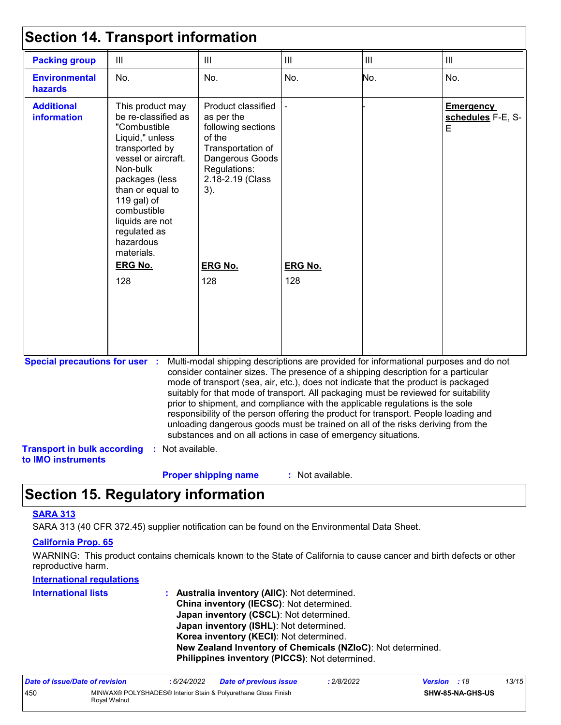| <b>Packing group</b>                                     | III                                                                                                                                                                                                                                                               | $\mathbf{III}$                                                                                                                                                                                                                                                                                                                                                                                                                                                                                                                                                                              | III            | $\mathbf{III}$ | III                                                                                  |
|----------------------------------------------------------|-------------------------------------------------------------------------------------------------------------------------------------------------------------------------------------------------------------------------------------------------------------------|---------------------------------------------------------------------------------------------------------------------------------------------------------------------------------------------------------------------------------------------------------------------------------------------------------------------------------------------------------------------------------------------------------------------------------------------------------------------------------------------------------------------------------------------------------------------------------------------|----------------|----------------|--------------------------------------------------------------------------------------|
| <b>Environmental</b><br><b>hazards</b>                   | No.                                                                                                                                                                                                                                                               | No.                                                                                                                                                                                                                                                                                                                                                                                                                                                                                                                                                                                         | No.            | No.            | No.                                                                                  |
| <b>Additional</b><br>information                         | This product may<br>be re-classified as<br>"Combustible<br>Liquid," unless<br>transported by<br>vessel or aircraft.<br>Non-bulk<br>packages (less<br>than or equal to<br>119 gal) of<br>combustible<br>liquids are not<br>regulated as<br>hazardous<br>materials. | Product classified<br>as per the<br>following sections<br>of the<br>Transportation of<br>Dangerous Goods<br>Regulations:<br>2.18-2.19 (Class<br>3).                                                                                                                                                                                                                                                                                                                                                                                                                                         |                |                | <b>Emergency</b><br>schedules F-E, S-<br>E                                           |
|                                                          | <b>ERG No.</b>                                                                                                                                                                                                                                                    | <b>ERG No.</b>                                                                                                                                                                                                                                                                                                                                                                                                                                                                                                                                                                              | <b>ERG No.</b> |                |                                                                                      |
|                                                          | 128                                                                                                                                                                                                                                                               | 128                                                                                                                                                                                                                                                                                                                                                                                                                                                                                                                                                                                         | 128            |                |                                                                                      |
| <b>Special precautions for user :</b>                    |                                                                                                                                                                                                                                                                   | consider container sizes. The presence of a shipping description for a particular<br>mode of transport (sea, air, etc.), does not indicate that the product is packaged<br>suitably for that mode of transport. All packaging must be reviewed for suitability<br>prior to shipment, and compliance with the applicable regulations is the sole<br>responsibility of the person offering the product for transport. People loading and<br>unloading dangerous goods must be trained on all of the risks deriving from the<br>substances and on all actions in case of emergency situations. |                |                | Multi-modal shipping descriptions are provided for informational purposes and do not |
| <b>Transport in bulk according</b><br>to IMO instruments | Not available.<br>÷.                                                                                                                                                                                                                                              |                                                                                                                                                                                                                                                                                                                                                                                                                                                                                                                                                                                             |                |                |                                                                                      |

### **Section 15. Regulatory information**

### **SARA 313**

SARA 313 (40 CFR 372.45) supplier notification can be found on the Environmental Data Sheet.

#### **California Prop. 65**

WARNING: This product contains chemicals known to the State of California to cause cancer and birth defects or other reproductive harm.

#### **International regulations**

| <b>International lists</b> | : Australia inventory (AIIC): Not determined.               |
|----------------------------|-------------------------------------------------------------|
|                            | China inventory (IECSC): Not determined.                    |
|                            | Japan inventory (CSCL): Not determined.                     |
|                            | Japan inventory (ISHL): Not determined.                     |
|                            | Korea inventory (KECI): Not determined.                     |
|                            | New Zealand Inventory of Chemicals (NZIoC): Not determined. |
|                            | Philippines inventory (PICCS): Not determined.              |

| Date of issue/Date of revision |              | : 6/24/2022 | <b>Date of previous issue</b>                                  | : 2/8/2022 | <b>Version</b> : 18 |                         | 13/15 |
|--------------------------------|--------------|-------------|----------------------------------------------------------------|------------|---------------------|-------------------------|-------|
| 450                            | Roval Walnut |             | MINWAX® POLYSHADES® Interior Stain & Polyurethane Gloss Finish |            |                     | <b>SHW-85-NA-GHS-US</b> |       |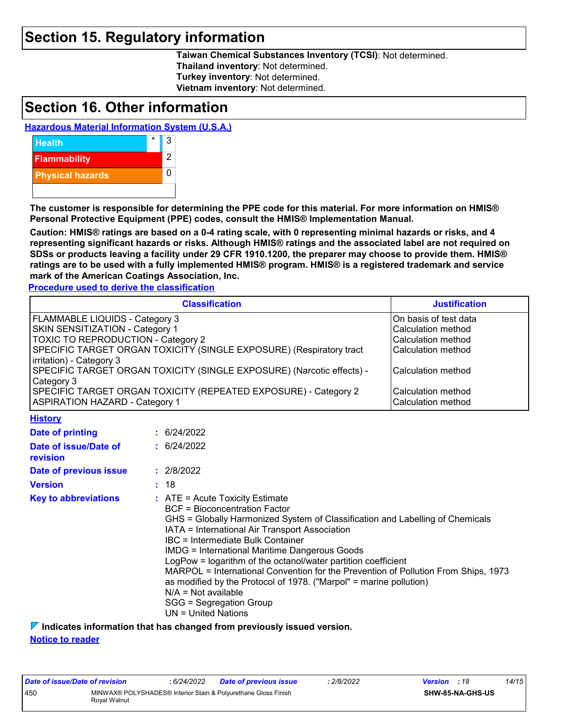### **Section 15. Regulatory information**

**Taiwan Chemical Substances Inventory (TCSI)**: Not determined. **Thailand inventory**: Not determined. **Turkey inventory**: Not determined. **Vietnam inventory**: Not determined.

### **Section 16. Other information**

#### **Hazardous Material Information System (U.S.A.)**



**The customer is responsible for determining the PPE code for this material. For more information on HMIS® Personal Protective Equipment (PPE) codes, consult the HMIS® Implementation Manual.**

**Caution: HMIS® ratings are based on a 0-4 rating scale, with 0 representing minimal hazards or risks, and 4 representing significant hazards or risks. Although HMIS® ratings and the associated label are not required on SDSs or products leaving a facility under 29 CFR 1910.1200, the preparer may choose to provide them. HMIS® ratings are to be used with a fully implemented HMIS® program. HMIS® is a registered trademark and service mark of the American Coatings Association, Inc.**

**Procedure used to derive the classification**

|                                                                                                                                                                                                                                                                                                                                                                                                                                                                                                                                                                                                                                                            | <b>Justification</b>                                                                                                                                      |             |  |  |
|------------------------------------------------------------------------------------------------------------------------------------------------------------------------------------------------------------------------------------------------------------------------------------------------------------------------------------------------------------------------------------------------------------------------------------------------------------------------------------------------------------------------------------------------------------------------------------------------------------------------------------------------------------|-----------------------------------------------------------------------------------------------------------------------------------------------------------|-------------|--|--|
| <b>FLAMMABLE LIQUIDS - Category 3</b><br>SKIN SENSITIZATION - Category 1<br>TOXIC TO REPRODUCTION - Category 2<br>SPECIFIC TARGET ORGAN TOXICITY (SINGLE EXPOSURE) (Respiratory tract<br>irritation) - Category 3<br>SPECIFIC TARGET ORGAN TOXICITY (SINGLE EXPOSURE) (Narcotic effects) -<br>Category 3<br>SPECIFIC TARGET ORGAN TOXICITY (REPEATED EXPOSURE) - Category 2<br><b>ASPIRATION HAZARD - Category 1</b>                                                                                                                                                                                                                                       | On basis of test data<br>Calculation method<br>Calculation method<br>Calculation method<br>Calculation method<br>Calculation method<br>Calculation method |             |  |  |
| <b>History</b>                                                                                                                                                                                                                                                                                                                                                                                                                                                                                                                                                                                                                                             |                                                                                                                                                           |             |  |  |
| Date of printing                                                                                                                                                                                                                                                                                                                                                                                                                                                                                                                                                                                                                                           |                                                                                                                                                           | : 6/24/2022 |  |  |
| Date of issue/Date of<br>revision                                                                                                                                                                                                                                                                                                                                                                                                                                                                                                                                                                                                                          |                                                                                                                                                           | : 6/24/2022 |  |  |
| Date of previous issue                                                                                                                                                                                                                                                                                                                                                                                                                                                                                                                                                                                                                                     |                                                                                                                                                           | : 2/8/2022  |  |  |
| <b>Version</b>                                                                                                                                                                                                                                                                                                                                                                                                                                                                                                                                                                                                                                             |                                                                                                                                                           |             |  |  |
| : 18<br><b>Key to abbreviations</b><br>$:$ ATE = Acute Toxicity Estimate<br><b>BCF</b> = Bioconcentration Factor<br>GHS = Globally Harmonized System of Classification and Labelling of Chemicals<br>IATA = International Air Transport Association<br>IBC = Intermediate Bulk Container<br><b>IMDG = International Maritime Dangerous Goods</b><br>LogPow = logarithm of the octanol/water partition coefficient<br>MARPOL = International Convention for the Prevention of Pollution From Ships, 1973<br>as modified by the Protocol of 1978. ("Marpol" = marine pollution)<br>$N/A = Not available$<br>SGG = Segregation Group<br>$UN = United Nations$ |                                                                                                                                                           |             |  |  |

**Indicates information that has changed from previously issued version.**

**Notice to reader**

| Date of issue/Date of revision |                                                                                | : 6/24/2022 | <b>Date of previous issue</b> | 2/8/2022 | <b>Version</b> : 18 |                         | 14/15 |
|--------------------------------|--------------------------------------------------------------------------------|-------------|-------------------------------|----------|---------------------|-------------------------|-------|
| 450                            | MINWAX® POLYSHADES® Interior Stain & Polyurethane Gloss Finish<br>Roval Walnut |             |                               |          |                     | <b>SHW-85-NA-GHS-US</b> |       |